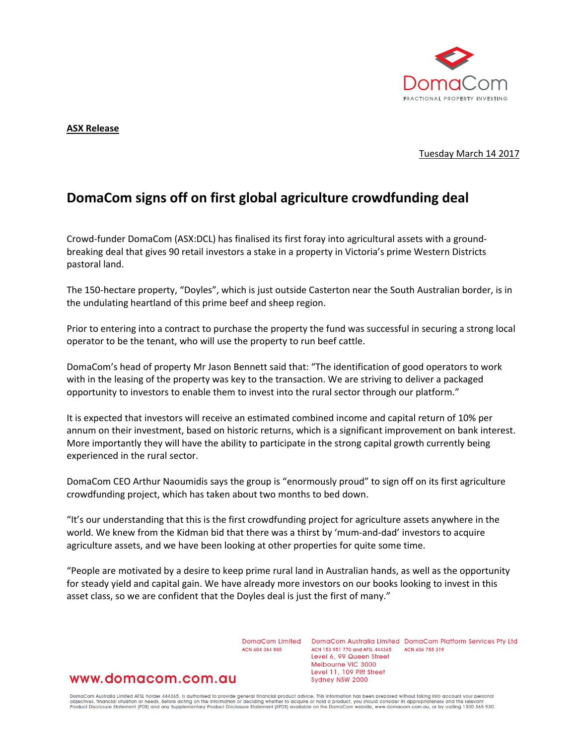

### **ASX Release**

Tuesday March 14 2017

# **DomaCom signs off on first global agriculture crowdfunding deal**

Crowd-funder DomaCom (ASX:DCL) has finalised its first foray into agricultural assets with a groundbreaking deal that gives 90 retail investors a stake in a property in Victoria's prime Western Districts pastoral land.

The 150-hectare property, "Doyles", which is just outside Casterton near the South Australian border, is in the undulating heartland of this prime beef and sheep region.

Prior to entering into a contract to purchase the property the fund was successful in securing a strong local operator to be the tenant, who will use the property to run beef cattle.

DomaCom's head of property Mr Jason Bennett said that: "The identification of good operators to work with in the leasing of the property was key to the transaction. We are striving to deliver a packaged opportunity to investors to enable them to invest into the rural sector through our platform."

It is expected that investors will receive an estimated combined income and capital return of 10% per annum on their investment, based on historic returns, which is a significant improvement on bank interest. More importantly they will have the ability to participate in the strong capital growth currently being experienced in the rural sector.

DomaCom CEO Arthur Naoumidis says the group is "enormously proud" to sign off on its first agriculture crowdfunding project, which has taken about two months to bed down.

"It's our understanding that this is the first crowdfunding project for agriculture assets anywhere in the world. We knew from the Kidman bid that there was a thirst by 'mum-and-dad' investors to acquire agriculture assets, and we have been looking at other properties for quite some time.

"People are motivated by a desire to keep prime rural land in Australian hands, as well as the opportunity for steady yield and capital gain. We have already more investors on our books looking to invest in this asset class, so we are confident that the Doyles deal is just the first of many."

ACN 604 384 885

DomaCom Limited DomaCom Australia Limited DomaCom Platform Services Pty Ltd ACN 153 951 770 and AFSL 444365 ACN 606 755 319 Level 6, 99 Queen Street Melbourne VIC 3000 Level 11, 109 Pitt Street Sydney NSW 2000

# www.domacom.com.au

DomaCom Australia Limited AFSL holder 444365, is authorised to provide general financial product advice. This information has been prepared without taking into account your personal<br>objectives, financial situation or needs